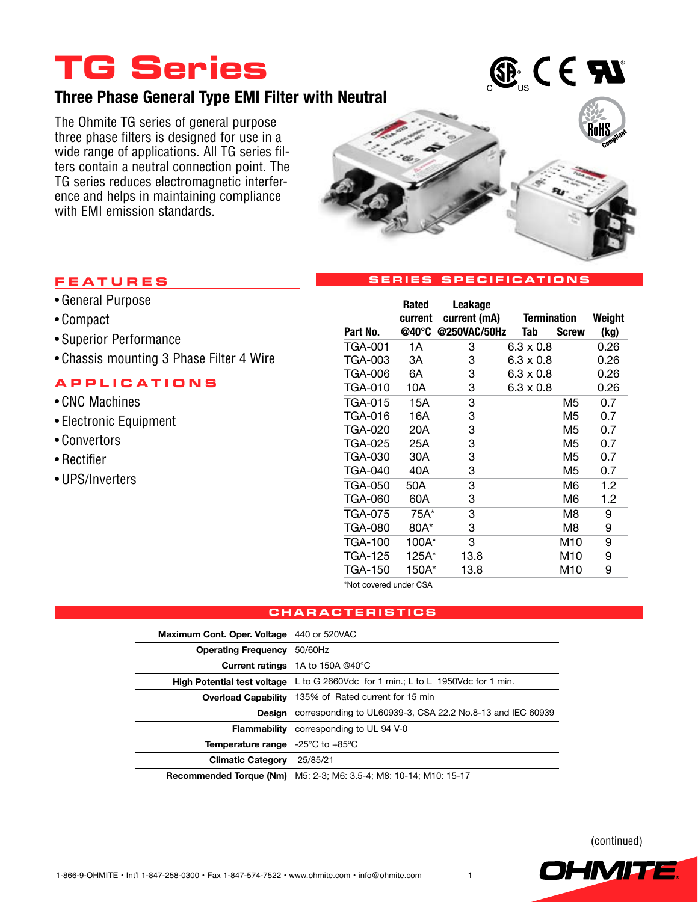# **TG Series**

## **Three Phase General Type EMI Filter with Neutral**

The Ohmite TG series of general purpose three phase filters is designed for use in a wide range of applications. All TG series filters contain a neutral connection point. The TG series reduces electromagnetic interference and helps in maintaining compliance with EMI emission standards.



 $\mathbf{G}^{\text{e}}$  (e  $\mathbf{H}$ 

#### **Serie s Speci f icat ion s**

### **Fea t ure s**

- • General Purpose
- • Compact
- • Superior Performance
- • Chassis mounting 3 Phase Filter 4 Wire

### **applica t ion s**

- CNC Machines
- • Electronic Equipment
- • Convertors
- • Rectifier
- • UPS/Inverters

|                | Rated<br>current | Leakage<br>current (mA) | <b>Termination</b> |                 | Weight |
|----------------|------------------|-------------------------|--------------------|-----------------|--------|
| Part No.       | @40°C            | @250VAC/50Hz            | Tab                | <b>Screw</b>    | (kg)   |
| TGA-001        | 1A               | 3                       | $6.3 \times 0.8$   |                 | 0.26   |
| TGA-003        | ЗA               | 3                       | $6.3 \times 0.8$   |                 | 0.26   |
| TGA-006        | 6A               | 3                       | 6.3 x 0.8          |                 | 0.26   |
| TGA-010        | 10A              | 3                       | $6.3 \times 0.8$   |                 | 0.26   |
| TGA-015        | 15A              | 3                       |                    | M5              | 0.7    |
| TGA-016        | 16A              | 3                       |                    | M5              | 0.7    |
| TGA-020        | 20A              | 3                       |                    | M5              | 0.7    |
| TGA-025        | 25A              | 3                       |                    | M5              | 0.7    |
| TGA-030        | 30A              | 3                       |                    | M5              | 0.7    |
| TGA-040        | 40A              | 3                       |                    | M5              | 0.7    |
| TGA-050        | 50A              | 3                       |                    | M6              | 1.2    |
| TGA-060        | 60A              | 3                       |                    | M6              | 1.2    |
| <b>TGA-075</b> | 75A*             | 3                       |                    | M8              | 9      |
| TGA-080        | 80A*             | 3                       |                    | M8              | 9      |
| <b>TGA-100</b> | 100A*            | 3                       |                    | M <sub>10</sub> | 9      |
| TGA-125        | 125A*            | 13.8                    |                    | M <sub>10</sub> | 9      |
| TGA-150        | 150A*            | 13.8                    |                    | M10             | 9      |

\*Not covered under CSA

#### **charac t eri st i c s**

| Maximum Cont. Oper. Voltage 440 or 520VAC                     |                                                                                         |
|---------------------------------------------------------------|-----------------------------------------------------------------------------------------|
| <b>Operating Frequency</b>                                    | 50/60Hz                                                                                 |
|                                                               | Current ratings 1A to 150A @40°C                                                        |
|                                                               | <b>High Potential test voltage</b> L to G 2660Vdc for 1 min.; L to L 1950Vdc for 1 min. |
|                                                               | Overload Capability 135% of Rated current for 15 min                                    |
| Desian                                                        | corresponding to UL60939-3, CSA 22.2 No.8-13 and IEC 60939                              |
| <b>Flammability</b>                                           | corresponding to UL 94 V-0                                                              |
| <b>Temperature range</b> -25 $^{\circ}$ C to +85 $^{\circ}$ C |                                                                                         |
| <b>Climatic Category</b>                                      | 25/85/21                                                                                |
| <b>Recommended Torque (Nm)</b>                                | M5: 2-3: M6: 3.5-4: M8: 10-14: M10: 15-17                                               |

(continued)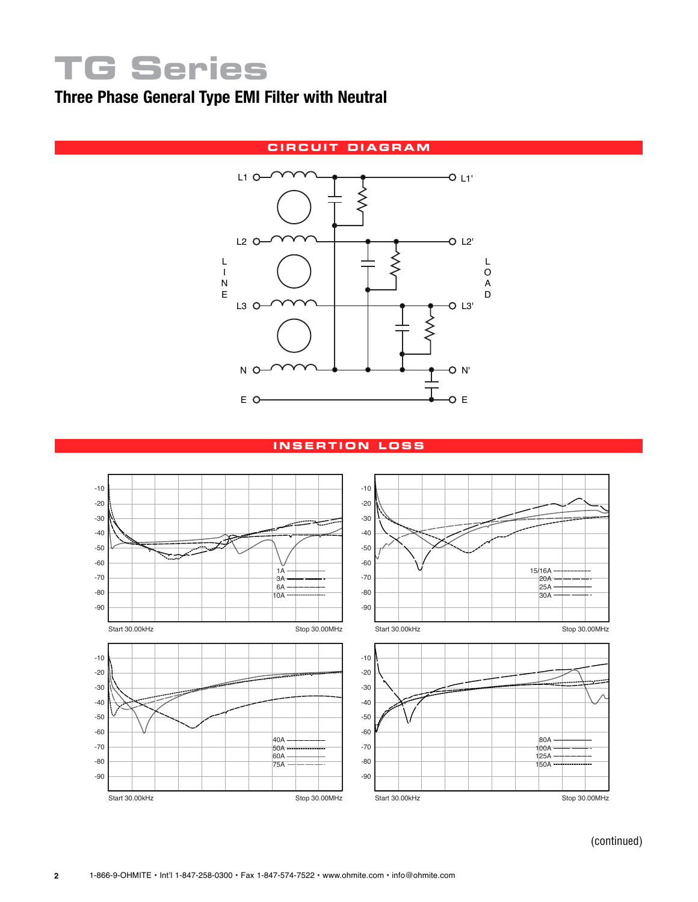# **TG Series**

## **Three Phase General Type EMI Filter with Neutral**



#### **i n s e r t ion lo ss**